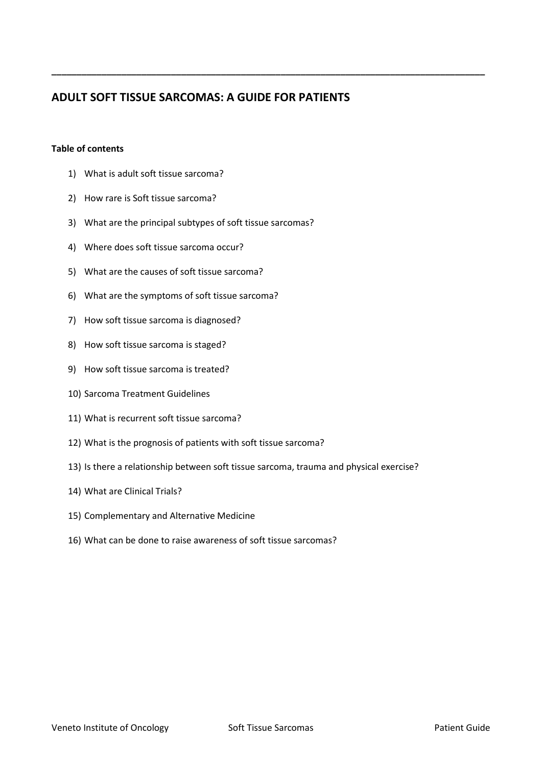# **ADULT SOFT TISSUE SARCOMAS: A GUIDE FOR PATIENTS**

**\_\_\_\_\_\_\_\_\_\_\_\_\_\_\_\_\_\_\_\_\_\_\_\_\_\_\_\_\_\_\_\_\_\_\_\_\_\_\_\_\_\_\_\_\_\_\_\_\_\_\_\_\_\_\_\_\_\_\_\_\_\_\_\_\_\_\_\_\_\_\_\_\_\_\_\_\_\_\_\_\_\_\_\_\_\_\_**

## **Table of contents**

- 1) What is adult soft tissue sarcoma?
- 2) How rare is Soft tissue sarcoma?
- 3) What are the principal subtypes of soft tissue sarcomas?
- 4) Where does soft tissue sarcoma occur?
- 5) What are the causes of soft tissue sarcoma?
- 6) What are the symptoms of soft tissue sarcoma?
- 7) How soft tissue sarcoma is diagnosed?
- 8) How soft tissue sarcoma is staged?
- 9) How soft tissue sarcoma is treated?
- 10) Sarcoma Treatment Guidelines
- 11) What is recurrent soft tissue sarcoma?
- 12) What is the prognosis of patients with soft tissue sarcoma?
- 13) Is there a relationship between soft tissue sarcoma, trauma and physical exercise?
- 14) What are Clinical Trials?
- 15) Complementary and Alternative Medicine
- 16) What can be done to raise awareness of soft tissue sarcomas?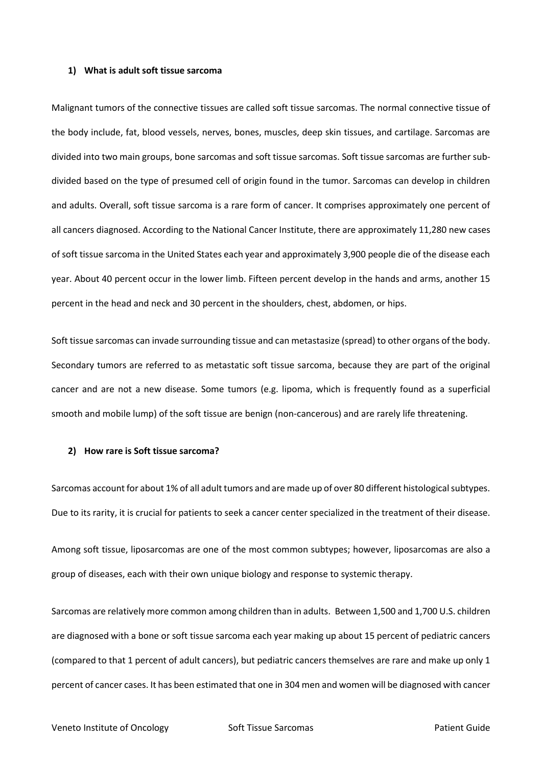## **1) What is adult soft tissue sarcoma**

Malignant tumors of the connective tissues are called soft tissue sarcomas. The normal connective tissue of the body include, fat, blood vessels, nerves, bones, muscles, deep skin tissues, and cartilage. Sarcomas are divided into two main groups, bone sarcomas and soft tissue sarcomas. Soft tissue sarcomas are further subdivided based on the type of presumed cell of origin found in the tumor. Sarcomas can develop in children and adults. Overall, soft tissue sarcoma is a rare form of cancer. It comprises approximately one percent of all cancers diagnosed. According to the National Cancer Institute, there are approximately 11,280 new cases of soft tissue sarcoma in the United States each year and approximately 3,900 people die of the disease each year. About 40 percent occur in the lower limb. Fifteen percent develop in the hands and arms, another 15 percent in the head and neck and 30 percent in the shoulders, chest, abdomen, or hips.

Soft tissue sarcomas can invade surrounding tissue and can metastasize (spread) to other organs of the body. Secondary tumors are referred to as metastatic soft tissue sarcoma, because they are part of the original cancer and are not a new disease. Some tumors (e.g. lipoma, which is frequently found as a superficial smooth and mobile lump) of the soft tissue are benign (non-cancerous) and are rarely life threatening.

#### **2) How rare is Soft tissue sarcoma?**

Sarcomas account for about 1% of all adult tumors and are made up of over 80 different histological subtypes. Due to its rarity, it is crucial for patients to seek a cancer center specialized in the treatment of their disease.

Among soft tissue, liposarcomas are one of the most common subtypes; however, liposarcomas are also a group of diseases, each with their own unique biology and response to systemic therapy.

Sarcomas are relatively more common among children than in adults. Between 1,500 and 1,700 U.S. children are diagnosed with a bone or soft tissue sarcoma each year making up about 15 percent of pediatric cancers (compared to that 1 percent of adult cancers), but pediatric cancers themselves are rare and make up only 1 percent of cancer cases. It has been estimated that one in 304 men and women will be diagnosed with cancer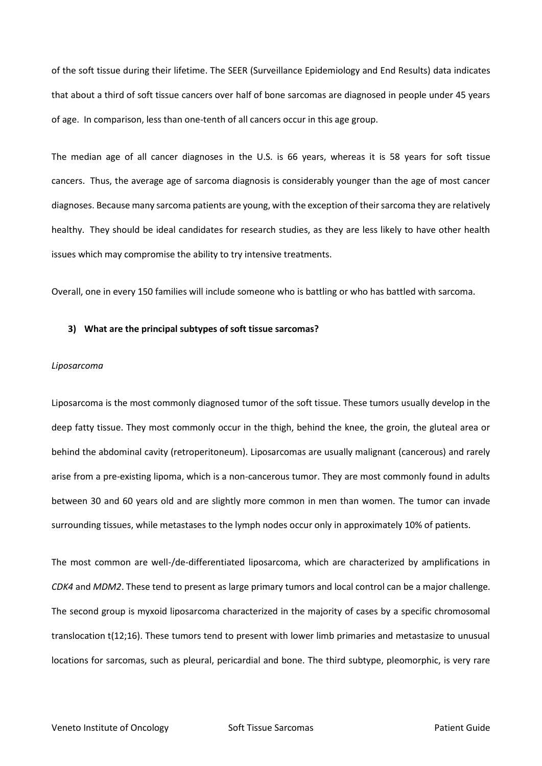of the soft tissue during their lifetime. The SEER (Surveillance Epidemiology and End Results) data indicates that about a third of soft tissue cancers over half of bone sarcomas are diagnosed in people under 45 years of age. In comparison, less than one-tenth of all cancers occur in this age group.

The median age of all cancer diagnoses in the U.S. is 66 years, whereas it is 58 years for soft tissue cancers. Thus, the average age of sarcoma diagnosis is considerably younger than the age of most cancer diagnoses. Because many sarcoma patients are young, with the exception of their sarcoma they are relatively healthy. They should be ideal candidates for research studies, as they are less likely to have other health issues which may compromise the ability to try intensive treatments.

Overall, one in every 150 families will include someone who is battling or who has battled with sarcoma.

#### **3) What are the principal subtypes of soft tissue sarcomas?**

## *Liposarcoma*

Liposarcoma is the most commonly diagnosed tumor of the soft tissue. These tumors usually develop in the deep fatty tissue. They most commonly occur in the thigh, behind the knee, the groin, the gluteal area or behind the abdominal cavity (retroperitoneum). Liposarcomas are usually malignant (cancerous) and rarely arise from a pre-existing lipoma, which is a non-cancerous tumor. They are most commonly found in adults between 30 and 60 years old and are slightly more common in men than women. The tumor can invade surrounding tissues, while metastases to the lymph nodes occur only in approximately 10% of patients.

The most common are well-/de-differentiated liposarcoma, which are characterized by amplifications in *CDK4* and *MDM2*. These tend to present as large primary tumors and local control can be a major challenge. The second group is myxoid liposarcoma characterized in the majority of cases by a specific chromosomal translocation t(12;16). These tumors tend to present with lower limb primaries and metastasize to unusual locations for sarcomas, such as pleural, pericardial and bone. The third subtype, pleomorphic, is very rare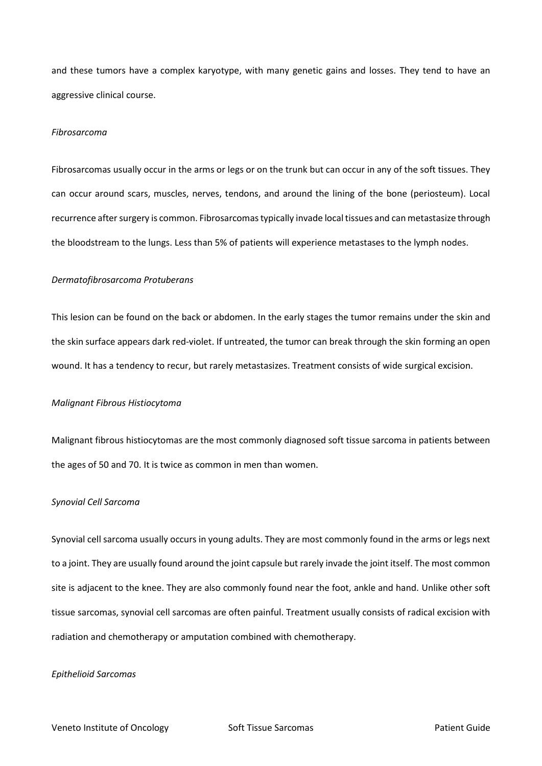and these tumors have a complex karyotype, with many genetic gains and losses. They tend to have an aggressive clinical course.

#### *Fibrosarcoma*

Fibrosarcomas usually occur in the arms or legs or on the trunk but can occur in any of the soft tissues. They can occur around scars, muscles, nerves, tendons, and around the lining of the bone (periosteum). Local recurrence after surgery is common. Fibrosarcomas typically invade local tissues and can metastasize through the bloodstream to the lungs. Less than 5% of patients will experience metastases to the lymph nodes.

### *Dermatofibrosarcoma Protuberans*

This lesion can be found on the back or abdomen. In the early stages the tumor remains under the skin and the skin surface appears dark red-violet. If untreated, the tumor can break through the skin forming an open wound. It has a tendency to recur, but rarely metastasizes. Treatment consists of wide surgical excision.

#### *Malignant Fibrous Histiocytoma*

Malignant fibrous histiocytomas are the most commonly diagnosed soft tissue sarcoma in patients between the ages of 50 and 70. It is twice as common in men than women.

## *Synovial Cell Sarcoma*

Synovial cell sarcoma usually occurs in young adults. They are most commonly found in the arms or legs next to a joint. They are usually found around the joint capsule but rarely invade the joint itself. The most common site is adjacent to the knee. They are also commonly found near the foot, ankle and hand. Unlike other soft tissue sarcomas, synovial cell sarcomas are often painful. Treatment usually consists of radical excision with radiation and chemotherapy or amputation combined with chemotherapy.

#### *Epithelioid Sarcomas*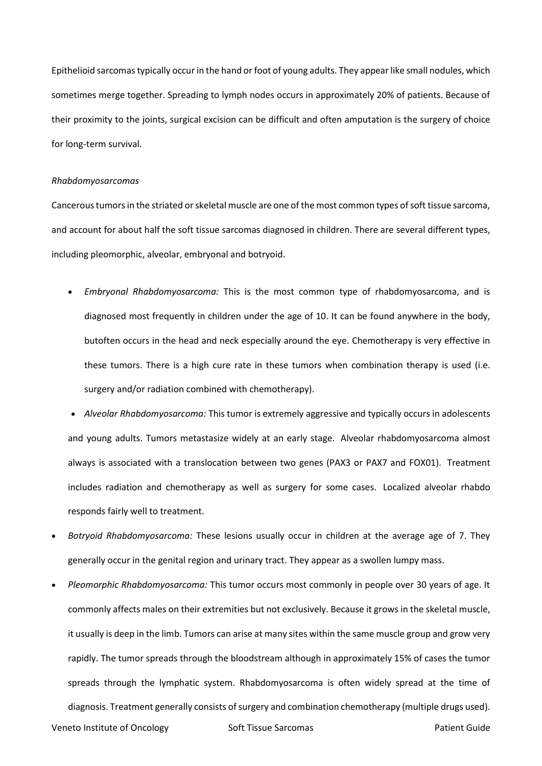Epithelioid sarcomas typically occur in the hand or foot of young adults. They appear like small nodules, which sometimes merge together. Spreading to lymph nodes occurs in approximately 20% of patients. Because of their proximity to the joints, surgical excision can be difficult and often amputation is the surgery of choice for long-term survival.

#### *Rhabdomyosarcomas*

Cancerous tumors in the striated or skeletal muscle are one of the most common types of soft tissue sarcoma, and account for about half the soft tissue sarcomas diagnosed in children. There are several different types, including pleomorphic, alveolar, embryonal and botryoid.

 *Embryonal Rhabdomyosarcoma:* This is the most common type of rhabdomyosarcoma, and is diagnosed most frequently in children under the age of 10. It can be found anywhere in the body, butoften occurs in the head and neck especially around the eye. Chemotherapy is very effective in these tumors. There is a high cure rate in these tumors when combination therapy is used (i.e. surgery and/or radiation combined with chemotherapy).

 *Alveolar Rhabdomyosarcoma:* This tumor is extremely aggressive and typically occurs in adolescents and young adults. Tumors metastasize widely at an early stage. Alveolar rhabdomyosarcoma almost always is associated with a translocation between two genes (PAX3 or PAX7 and FOX01). Treatment includes radiation and chemotherapy as well as surgery for some cases. Localized alveolar rhabdo responds fairly well to treatment.

- *Botryoid Rhabdomyosarcoma:* These lesions usually occur in children at the average age of 7. They generally occur in the genital region and urinary tract. They appear as a swollen lumpy mass.
- *Pleomorphic Rhabdomyosarcoma:* This tumor occurs most commonly in people over 30 years of age. It commonly affects males on their extremities but not exclusively. Because it grows in the skeletal muscle, it usually is deep in the limb. Tumors can arise at many sites within the same muscle group and grow very rapidly. The tumor spreads through the bloodstream although in approximately 15% of cases the tumor spreads through the lymphatic system. Rhabdomyosarcoma is often widely spread at the time of diagnosis. Treatment generally consists of surgery and combination chemotherapy (multiple drugs used).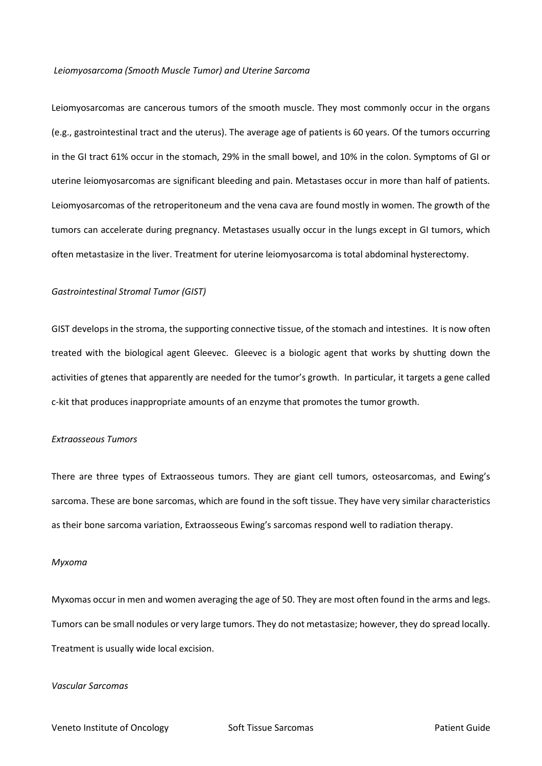#### *Leiomyosarcoma (Smooth Muscle Tumor) and Uterine Sarcoma*

Leiomyosarcomas are cancerous tumors of the smooth muscle. They most commonly occur in the organs (e.g., gastrointestinal tract and the uterus). The average age of patients is 60 years. Of the tumors occurring in the GI tract 61% occur in the stomach, 29% in the small bowel, and 10% in the colon. Symptoms of GI or uterine leiomyosarcomas are significant bleeding and pain. Metastases occur in more than half of patients. Leiomyosarcomas of the retroperitoneum and the vena cava are found mostly in women. The growth of the tumors can accelerate during pregnancy. Metastases usually occur in the lungs except in GI tumors, which often metastasize in the liver. Treatment for uterine leiomyosarcoma is total abdominal hysterectomy.

## *Gastrointestinal Stromal Tumor (GIST)*

GIST develops in the stroma, the supporting connective tissue, of the stomach and intestines. It is now often treated with the biological agent Gleevec. Gleevec is a biologic agent that works by shutting down the activities of gtenes that apparently are needed for the tumor's growth. In particular, it targets a gene called c-kit that produces inappropriate amounts of an enzyme that promotes the tumor growth.

## *Extraosseous Tumors*

There are three types of Extraosseous tumors. They are giant cell tumors, osteosarcomas, and Ewing's sarcoma. These are bone sarcomas, which are found in the soft tissue. They have very similar characteristics as their bone sarcoma variation, Extraosseous Ewing's sarcomas respond well to radiation therapy.

## *Myxoma*

Myxomas occur in men and women averaging the age of 50. They are most often found in the arms and legs. Tumors can be small nodules or very large tumors. They do not metastasize; however, they do spread locally. Treatment is usually wide local excision.

## *Vascular Sarcomas*

Veneto Institute of Oncology **Soft Tissue Sarcomas** Patient Guide Patient Guide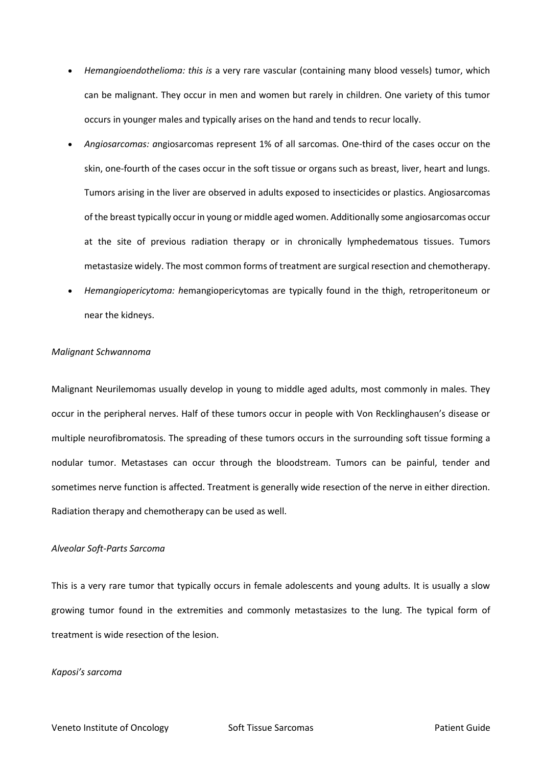- *Hemangioendothelioma: this is* a very rare vascular (containing many blood vessels) tumor, which can be malignant. They occur in men and women but rarely in children. One variety of this tumor occurs in younger males and typically arises on the hand and tends to recur locally.
- *Angiosarcomas: a*ngiosarcomas represent 1% of all sarcomas. One-third of the cases occur on the skin, one-fourth of the cases occur in the soft tissue or organs such as breast, liver, heart and lungs. Tumors arising in the liver are observed in adults exposed to insecticides or plastics. Angiosarcomas of the breast typically occur in young or middle aged women. Additionally some angiosarcomas occur at the site of previous radiation therapy or in chronically lymphedematous tissues. Tumors metastasize widely. The most common forms of treatment are surgical resection and chemotherapy.
- *Hemangiopericytoma: h*emangiopericytomas are typically found in the thigh, retroperitoneum or near the kidneys.

## *Malignant Schwannoma*

Malignant Neurilemomas usually develop in young to middle aged adults, most commonly in males. They occur in the peripheral nerves. Half of these tumors occur in people with Von Recklinghausen's disease or multiple neurofibromatosis. The spreading of these tumors occurs in the surrounding soft tissue forming a nodular tumor. Metastases can occur through the bloodstream. Tumors can be painful, tender and sometimes nerve function is affected. Treatment is generally wide resection of the nerve in either direction. Radiation therapy and chemotherapy can be used as well.

## *Alveolar Soft-Parts Sarcoma*

This is a very rare tumor that typically occurs in female adolescents and young adults. It is usually a slow growing tumor found in the extremities and commonly metastasizes to the lung. The typical form of treatment is wide resection of the lesion.

#### *Kaposi's sarcoma*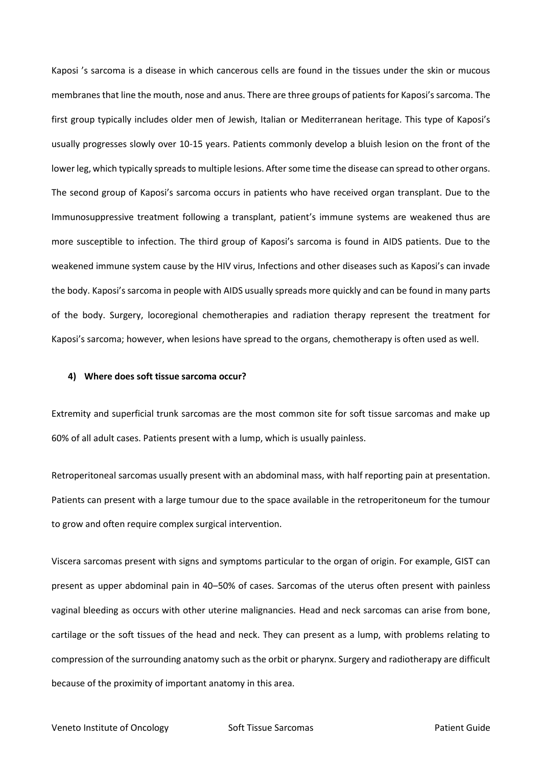Kaposi 's sarcoma is a disease in which cancerous cells are found in the tissues under the skin or mucous membranes that line the mouth, nose and anus. There are three groups of patients for Kaposi's sarcoma. The first group typically includes older men of Jewish, Italian or Mediterranean heritage. This type of Kaposi's usually progresses slowly over 10-15 years. Patients commonly develop a bluish lesion on the front of the lower leg, which typically spreads to multiple lesions. After some time the disease can spread to other organs. The second group of Kaposi's sarcoma occurs in patients who have received organ transplant. Due to the Immunosuppressive treatment following a transplant, patient's immune systems are weakened thus are more susceptible to infection. The third group of Kaposi's sarcoma is found in AIDS patients. Due to the weakened immune system cause by the HIV virus, Infections and other diseases such as Kaposi's can invade the body. Kaposi's sarcoma in people with AIDS usually spreads more quickly and can be found in many parts of the body. Surgery, locoregional chemotherapies and radiation therapy represent the treatment for Kaposi's sarcoma; however, when lesions have spread to the organs, chemotherapy is often used as well.

#### **4) Where does soft tissue sarcoma occur?**

Extremity and superficial trunk sarcomas are the most common site for soft tissue sarcomas and make up 60% of all adult cases. Patients present with a lump, which is usually painless.

Retroperitoneal sarcomas usually present with an abdominal mass, with half reporting pain at presentation. Patients can present with a large tumour due to the space available in the retroperitoneum for the tumour to grow and often require complex surgical intervention.

Viscera sarcomas present with signs and symptoms particular to the organ of origin. For example, GIST can present as upper abdominal pain in 40–50% of cases. Sarcomas of the uterus often present with painless vaginal bleeding as occurs with other uterine malignancies. Head and neck sarcomas can arise from bone, cartilage or the soft tissues of the head and neck. They can present as a lump, with problems relating to compression of the surrounding anatomy such as the orbit or pharynx. Surgery and radiotherapy are difficult because of the proximity of important anatomy in this area.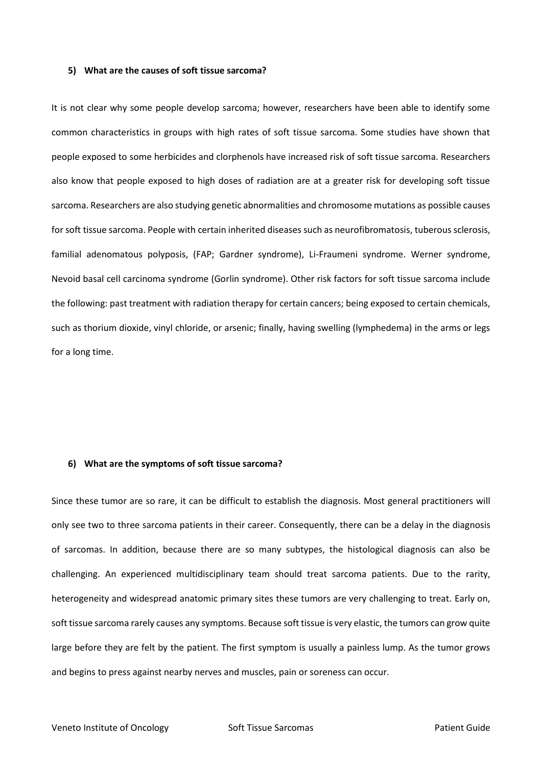#### **5) What are the causes of soft tissue sarcoma?**

It is not clear why some people develop sarcoma; however, researchers have been able to identify some common characteristics in groups with high rates of soft tissue sarcoma. Some studies have shown that people exposed to some herbicides and clorphenols have increased risk of soft tissue sarcoma. Researchers also know that people exposed to high doses of radiation are at a greater risk for developing soft tissue sarcoma. Researchers are also studying genetic abnormalities and chromosome mutations as possible causes for soft tissue sarcoma. People with certain inherited diseases such as neurofibromatosis, tuberous sclerosis, familial adenomatous polyposis, (FAP; Gardner syndrome), Li-Fraumeni syndrome. Werner syndrome, Nevoid basal cell carcinoma syndrome (Gorlin syndrome). Other risk factors for soft tissue sarcoma include the following: past treatment with radiation therapy for certain cancers; being exposed to certain chemicals, such as thorium dioxide, vinyl chloride, or arsenic; finally, having swelling (lymphedema) in the arms or legs for a long time.

#### **6) What are the symptoms of soft tissue sarcoma?**

Since these tumor are so rare, it can be difficult to establish the diagnosis. Most general practitioners will only see two to three sarcoma patients in their career. Consequently, there can be a delay in the diagnosis of sarcomas. In addition, because there are so many subtypes, the histological diagnosis can also be challenging. An experienced multidisciplinary team should treat sarcoma patients. Due to the rarity, heterogeneity and widespread anatomic primary sites these tumors are very challenging to treat. Early on, soft tissue sarcoma rarely causes any symptoms. Because soft tissue is very elastic, the tumors can grow quite large before they are felt by the patient. The first symptom is usually a painless lump. As the tumor grows and begins to press against nearby nerves and muscles, pain or soreness can occur.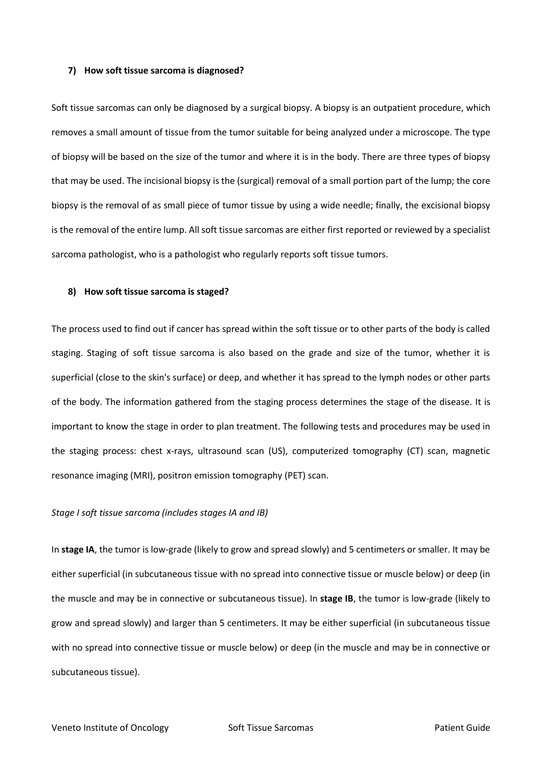#### **7) How soft tissue sarcoma is diagnosed?**

Soft tissue sarcomas can only be diagnosed by a surgical biopsy. A biopsy is an outpatient procedure, which removes a small amount of tissue from the tumor suitable for being analyzed under a microscope. The type of biopsy will be based on the size of the tumor and where it is in the body. There are three types of biopsy that may be used. The incisional biopsy is the (surgical) removal of a small portion part of the lump; the core biopsy is the removal of as small piece of tumor tissue by using a wide needle; finally, the excisional biopsy is the removal of the entire lump. All soft tissue sarcomas are either first reported or reviewed by a specialist sarcoma pathologist, who is a pathologist who regularly reports soft tissue tumors.

#### **8) How soft tissue sarcoma is staged?**

The process used to find out if cancer has spread within the soft tissue or to other parts of the body is called staging. Staging of soft tissue sarcoma is also based on the grade and size of the tumor, whether it is superficial (close to the skin's surface) or deep, and whether it has spread to the lymph nodes or other parts of the body. The information gathered from the staging process determines the stage of the disease. It is important to know the stage in order to plan treatment. The following tests and procedures may be used in the staging process: chest x-rays, ultrasound scan (US), computerized tomography (CT) scan, magnetic resonance imaging (MRI), positron emission tomography (PET) scan.

## *Stage I soft tissue sarcoma (includes stages IA and IB)*

In **stage IA**, the tumor is low-grade (likely to grow and spread slowly) and 5 centimeters or smaller. It may be either superficial (in subcutaneous tissue with no spread into connective tissue or muscle below) or deep (in the muscle and may be in connective or subcutaneous tissue). In **stage IB**, the tumor is low-grade (likely to grow and spread slowly) and larger than 5 centimeters. It may be either superficial (in subcutaneous tissue with no spread into connective tissue or muscle below) or deep (in the muscle and may be in connective or subcutaneous tissue).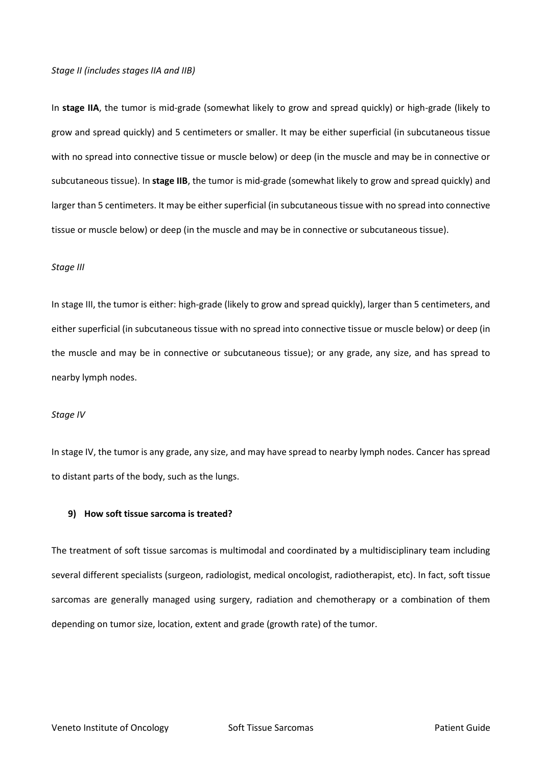## *Stage II (includes stages IIA and IIB)*

In **stage IIA**, the tumor is mid-grade (somewhat likely to grow and spread quickly) or high-grade (likely to grow and spread quickly) and 5 centimeters or smaller. It may be either superficial (in subcutaneous tissue with no spread into connective tissue or muscle below) or deep (in the muscle and may be in connective or subcutaneous tissue). In **stage IIB**, the tumor is mid-grade (somewhat likely to grow and spread quickly) and larger than 5 centimeters. It may be either superficial (in subcutaneous tissue with no spread into connective tissue or muscle below) or deep (in the muscle and may be in connective or subcutaneous tissue).

## *Stage III*

In stage III, the tumor is either: high-grade (likely to grow and spread quickly), larger than 5 centimeters, and either superficial (in subcutaneous tissue with no spread into connective tissue or muscle below) or deep (in the muscle and may be in connective or subcutaneous tissue); or any grade, any size, and has spread to nearby lymph nodes.

#### *Stage IV*

In stage IV, the tumor is any grade, any size, and may have spread to nearby lymph nodes. Cancer has spread to distant parts of the body, such as the lungs.

## **9) How soft tissue sarcoma is treated?**

The treatment of soft tissue sarcomas is multimodal and coordinated by a multidisciplinary team including several different specialists (surgeon, radiologist, medical oncologist, radiotherapist, etc). In fact, soft tissue sarcomas are generally managed using surgery, radiation and chemotherapy or a combination of them depending on tumor size, location, extent and grade (growth rate) of the tumor.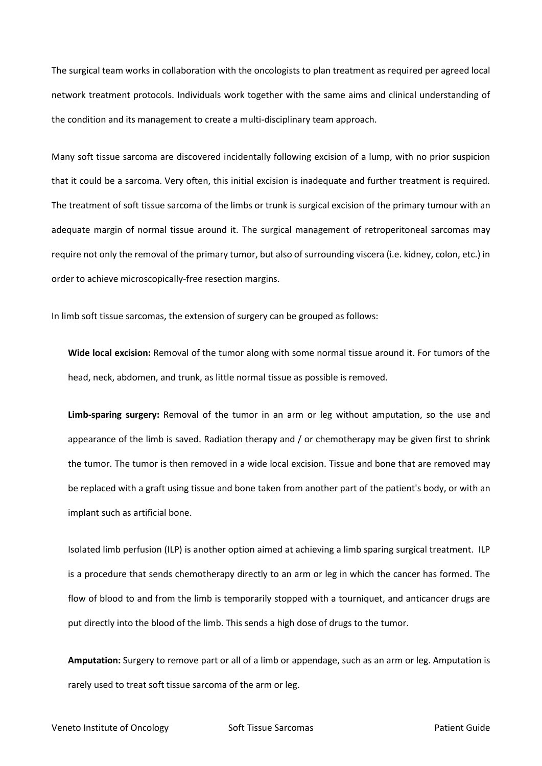The surgical team works in collaboration with the oncologists to plan treatment as required per agreed local network treatment protocols. Individuals work together with the same aims and clinical understanding of the condition and its management to create a multi-disciplinary team approach.

Many soft tissue sarcoma are discovered incidentally following excision of a lump, with no prior suspicion that it could be a sarcoma. Very often, this initial excision is inadequate and further treatment is required. The treatment of soft tissue sarcoma of the limbs or trunk is surgical excision of the primary tumour with an adequate margin of normal tissue around it. The surgical management of retroperitoneal sarcomas may require not only the removal of the primary tumor, but also of surrounding viscera (i.e. kidney, colon, etc.) in order to achieve microscopically-free resection margins.

In limb soft tissue sarcomas, the extension of surgery can be grouped as follows:

**Wide local excision:** Removal of the tumor along with some normal tissue around it. For tumors of the head, neck[, abdomen,](https://www.cancer.gov/Common/PopUps/popDefinition.aspx?id=45070&version=patient&language=English&dictionary=Cancer.gov) and trunk, as little normal tissue as possible is removed.

**[Limb-sparing surgery:](https://www.cancer.gov/Common/PopUps/popDefinition.aspx?id=689062&version=patient&language=English&dictionary=Cancer.gov)** Removal of the tumor in an arm or leg without [amputation,](https://www.cancer.gov/Common/PopUps/popDefinition.aspx?id=46210&version=patient&language=English&dictionary=Cancer.gov) so the use and appearance of the limb is saved. [Radiation therapy](https://www.cancer.gov/Common/PopUps/popDefinition.aspx?id=44971&version=patient&language=English&dictionary=Cancer.gov) and / or [chemotherapy](https://www.cancer.gov/Common/PopUps/popDefinition.aspx?id=45214&version=patient&language=English&dictionary=Cancer.gov) may be given first to shrink the tumor. The tumor is then removed in a wide local excision. Tissue and bone that are removed may be replaced with a [graft](https://www.cancer.gov/Common/PopUps/popDefinition.aspx?id=46373&version=patient&language=English&dictionary=Cancer.gov) using tissue and bone taken from another part of the patient's body, or with an [implant](https://www.cancer.gov/Common/PopUps/popDefinition.aspx?id=285636&version=patient&language=English&dictionary=Cancer.gov) such as artificial bone.

Isolated limb perfusion (ILP) is another option aimed at achieving a limb sparing surgical treatment. ILP is a procedure that sends chemotherapy directly to an arm or leg in which the cancer has formed. The flow of blood to and from the limb is temporarily stopped with a tourniquet, and anticancer drugs are put directly into the blood of the limb. This sends a high dose of drugs to the tumor.

**Amputation:** Surgery to remove part or all of a limb or [appendage,](https://www.cancer.gov/Common/PopUps/popDefinition.aspx?id=755493&version=patient&language=English&dictionary=Cancer.gov) such as an arm or leg. Amputation is rarely used to treat soft tissue sarcoma of the arm or leg.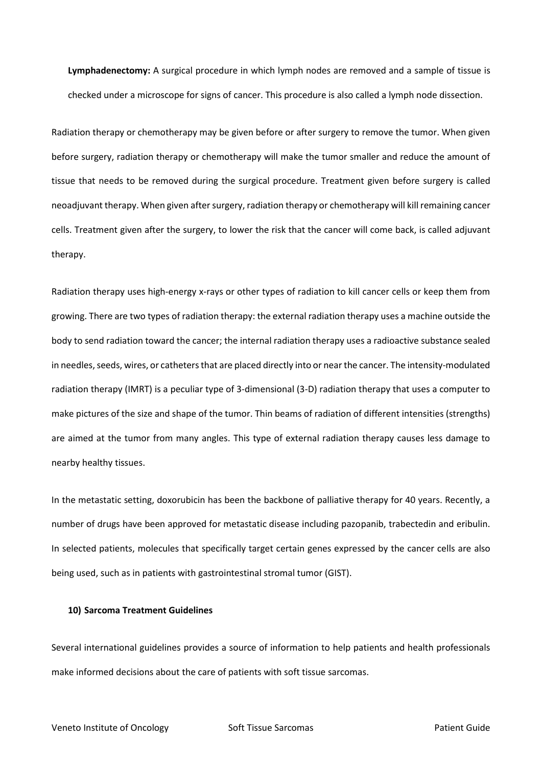**[Lymphadenectomy:](https://www.cancer.gov/Common/PopUps/popDefinition.aspx?id=45763&version=patient&language=English&dictionary=Cancer.gov)** A surgical procedure in which [lymph nodes](https://www.cancer.gov/Common/PopUps/popDefinition.aspx?id=45762&version=patient&language=English&dictionary=Cancer.gov) are removed and a sample of tissue is checked under a microscope fo[r signs](https://www.cancer.gov/Common/PopUps/popDefinition.aspx?id=750109&version=patient&language=English&dictionary=Cancer.gov) of cancer. This procedure is also called a lymph node dissection.

Radiation therapy or chemotherapy may be given before or after surgery to remove the tumor. When given before surgery, radiation therapy or chemotherapy will make the tumor smaller and reduce the amount of tissue that needs to be removed during the surgical procedure. Treatment given before surgery is called [neoadjuvant therapy.](https://www.cancer.gov/Common/PopUps/popDefinition.aspx?id=45800&version=patient&language=English&dictionary=Cancer.gov) When given after surgery, radiation therapy or chemotherapy will kill remaining cancer cells. Treatment given after the surgery, to lower the risk that the cancer will come back, is called [adjuvant](https://www.cancer.gov/Common/PopUps/popDefinition.aspx?id=45587&version=patient&language=English&dictionary=Cancer.gov)  [therapy.](https://www.cancer.gov/Common/PopUps/popDefinition.aspx?id=45587&version=patient&language=English&dictionary=Cancer.gov)

Radiation therapy uses high-energy x-rays or other types of radiation to kill cancer cells or keep them from growing. There are two types of radiation therapy: the external radiation therapy uses a machine outside the body to send radiation toward the cancer; the internal radiation therapy uses a radioactive substance sealed in needles, seeds, wires, or catheters that are placed directly into or near the cancer. The intensity-modulated radiation therapy (IMRT) is a peculiar type of 3-dimensional (3-D) radiation therapy that uses a computer to make pictures of the size and shape of the tumor. Thin beams of radiation of different intensities (strengths) are aimed at the tumor from many angles. This type of external radiation therapy causes less damage to nearby healthy tissues.

In the metastatic setting, doxorubicin has been the backbone of palliative therapy for 40 years. Recently, a number of drugs have been approved for metastatic disease including pazopanib, trabectedin and eribulin. In selected patients, molecules that specifically target certain genes expressed by the cancer cells are also being used, such as in patients with gastrointestinal stromal tumor (GIST).

## **10) Sarcoma Treatment Guidelines**

Several international guidelines provides a source of information to help patients and health professionals make informed decisions about the care of patients with soft tissue sarcomas.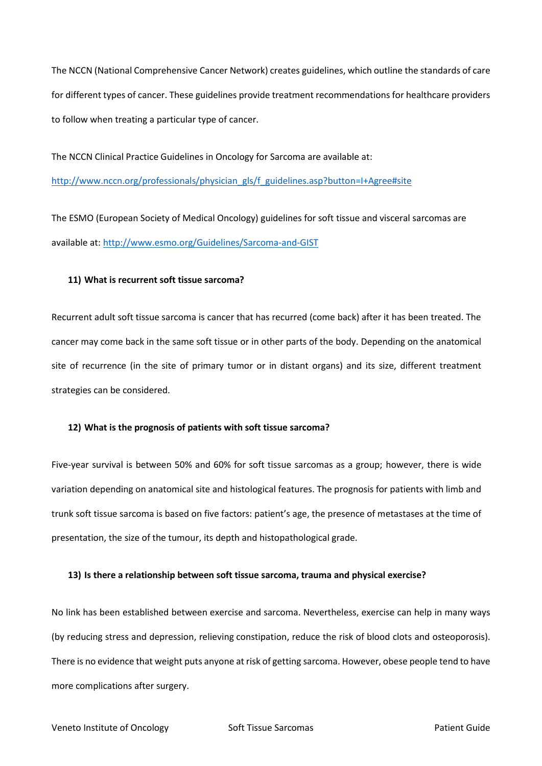The NCCN (National Comprehensive Cancer Network) creates guidelines, which outline the standards of care for different types of cancer. These guidelines provide treatment recommendations for healthcare providers to follow when treating a particular type of cancer.

The NCCN Clinical Practice Guidelines in Oncology for Sarcoma are available at:

[http://www.nccn.org/professionals/physician\\_gls/f\\_guidelines.asp?button=I+Agree#site](http://www.nccn.org/professionals/physician_gls/f_guidelines.asp?button=I+Agree#site)

The ESMO (European Society of Medical Oncology) guidelines for soft tissue and visceral sarcomas are available at: <http://www.esmo.org/Guidelines/Sarcoma-and-GIST>

# **11) What is recurrent soft tissue sarcoma?**

Recurrent adult soft tissue sarcoma is cancer that has recurred (come back) after it has been treated. The cancer may come back in the same soft tissue or in other parts of the body. Depending on the anatomical site of recurrence (in the site of primary tumor or in distant organs) and its size, different treatment strategies can be considered.

## **12) What is the prognosis of patients with soft tissue sarcoma?**

Five-year survival is between 50% and 60% for soft tissue sarcomas as a group; however, there is wide variation depending on anatomical site and histological features. The prognosis for patients with limb and trunk soft tissue sarcoma is based on five factors: patient's age, the presence of metastases at the time of presentation, the size of the tumour, its depth and histopathological grade.

## **13) Is there a relationship between soft tissue sarcoma, trauma and physical exercise?**

No link has been established between exercise and sarcoma. Nevertheless, exercise can help in many ways (by reducing stress and depression, relieving constipation, reduce the risk of blood clots and osteoporosis). There is no evidence that weight puts anyone at risk of getting sarcoma. However, obese people tend to have more complications after surgery.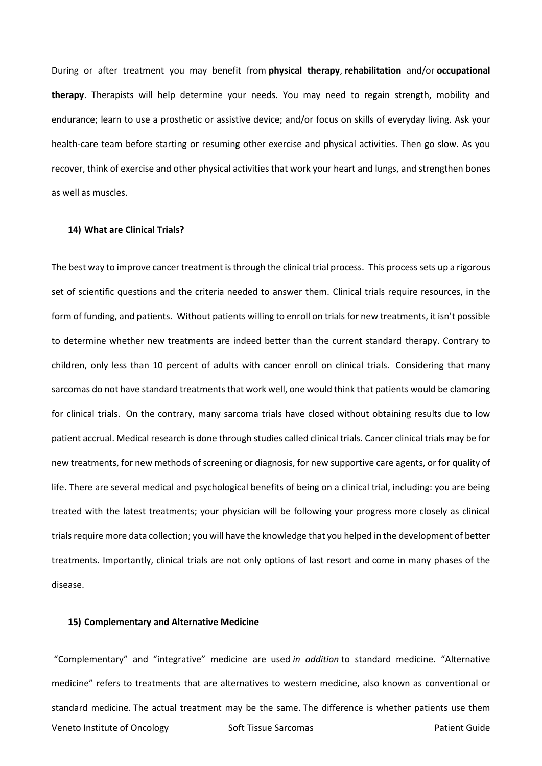During or after treatment you may benefit from **physical therapy**, **rehabilitation** and/or **occupational therapy**. Therapists will help determine your needs. You may need to regain strength, mobility and endurance; learn to use a prosthetic or assistive device; and/or focus on skills of everyday living. Ask your health-care team before starting or resuming other exercise and physical activities. Then go slow. As you recover, think of exercise and other physical activities that work your heart and lungs, and strengthen bones as well as muscles.

#### **14) What are Clinical Trials?**

The best way to improve cancer treatment is through the clinical trial process. This process sets up a rigorous set of scientific questions and the criteria needed to answer them. Clinical trials require resources, in the form of funding, and patients. Without patients willing to enroll on trials for new treatments, it isn't possible to determine whether new treatments are indeed better than the current standard therapy. Contrary to children, only less than 10 percent of adults with cancer enroll on clinical trials. Considering that many sarcomas do not have standard treatments that work well, one would think that patients would be clamoring for clinical trials. On the contrary, many sarcoma trials have closed without obtaining results due to low patient accrual. Medical research is done through studies called clinical trials. Cancer clinical trials may be for new treatments, for new methods of screening or diagnosis, for new supportive care agents, or for quality of life. There are several medical and psychological benefits of being on a clinical trial, including: you are being treated with the latest treatments; your physician will be following your progress more closely as clinical trials require more data collection; you will have the knowledge that you helped in the development of better treatments. Importantly, clinical trials are not only options of last resort and come in many phases of the disease.

#### **15) Complementary and Alternative Medicine**

Veneto Institute of Oncology Soft Tissue Sarcomas Patient Guide "Complementary" and "integrative" medicine are used *in addition* to standard medicine. "Alternative medicine" refers to treatments that are alternatives to western medicine, also known as conventional or standard medicine. The actual treatment may be the same. The difference is whether patients use them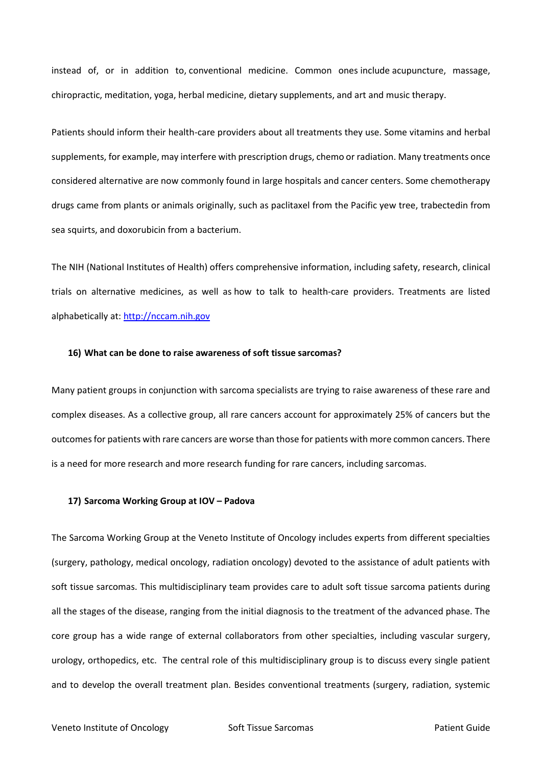instead of, or in addition to, conventional medicine. Common ones include acupuncture, massage, chiropractic, meditation, yoga, herbal medicine, dietary supplements, and art and music therapy.

Patients should inform their health-care providers about all treatments they use. Some vitamins and herbal supplements, for example, may interfere with prescription drugs, chemo or radiation. Many treatments once considered alternative are now commonly found in large hospitals and cancer centers. Some chemotherapy drugs came from plants or animals originally, such as [paclitaxel](http://en.wikipedia.org/wiki/Paclitaxel) from the Pacific yew tree, [trabectedin](http://en.wikipedia.org/wiki/Trabectedin) from sea squirts, and [doxorubicin](http://en.wikipedia.org/wiki/Doxorubicin) from a bacterium.

The NIH (National Institutes of Health) offers comprehensive information, including safety, research, clinical trials on alternative medicines, as well as how to talk to health-care providers. Treatments are listed alphabetically at: [http://nccam.nih.gov](http://nccam.nih.gov/)

## **16) What can be done to raise awareness of soft tissue sarcomas?**

Many patient groups in conjunction with sarcoma specialists are trying to raise awareness of these rare and complex diseases. As a collective group, all rare cancers account for approximately 25% of cancers but the outcomes for patients with rare cancers are worse than those for patients with more common cancers. There is a need for more research and more research funding for rare cancers, including sarcomas.

#### **17) Sarcoma Working Group at IOV – Padova**

The Sarcoma Working Group at the Veneto Institute of Oncology includes experts from different specialties (surgery, pathology, medical oncology, radiation oncology) devoted to the assistance of adult patients with soft tissue sarcomas. This multidisciplinary team provides care to adult soft tissue sarcoma patients during all the stages of the disease, ranging from the initial diagnosis to the treatment of the advanced phase. The core group has a wide range of external collaborators from other specialties, including vascular surgery, urology, orthopedics, etc. The central role of this multidisciplinary group is to discuss every single patient and to develop the overall treatment plan. Besides conventional treatments (surgery, radiation, systemic